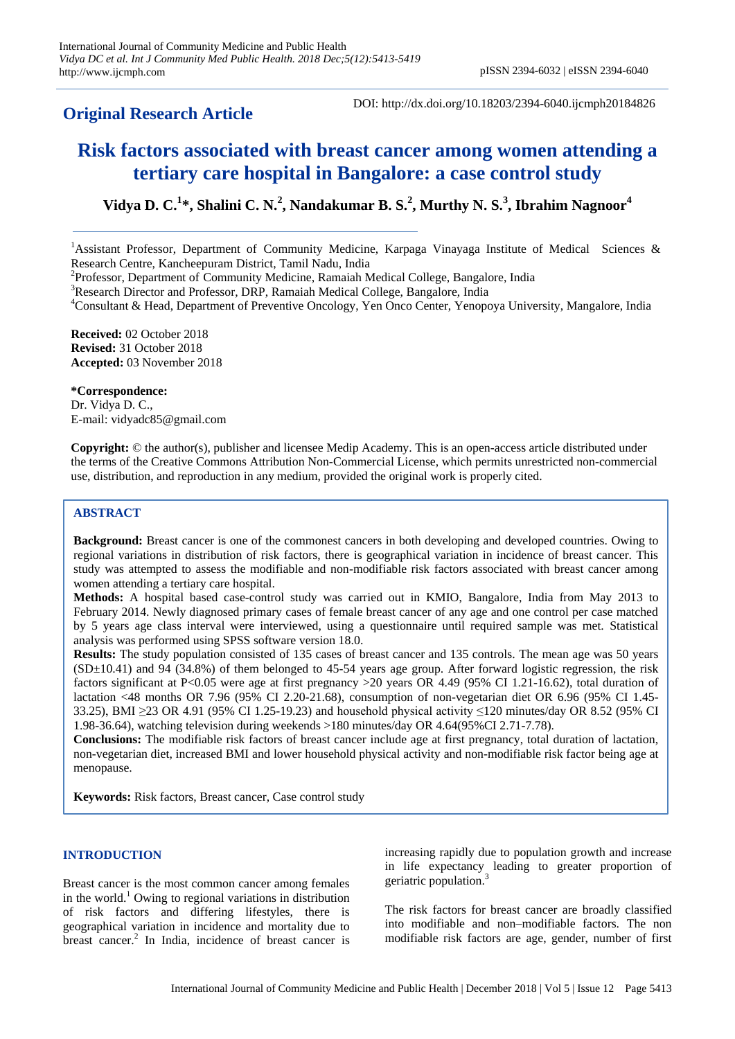# **Original Research Article**

DOI: http://dx.doi.org/10.18203/2394-6040.ijcmph20184826

# **Risk factors associated with breast cancer among women attending a tertiary care hospital in Bangalore: a case control study**

**Vidya D. C.<sup>1</sup> \*, Shalini C. N.<sup>2</sup> , Nandakumar B. S.<sup>2</sup> , Murthy N. S.<sup>3</sup> , Ibrahim Nagnoor<sup>4</sup>**

<sup>1</sup>Assistant Professor, Department of Community Medicine, Karpaga Vinayaga Institute of Medical Sciences & Research Centre, Kancheepuram District, Tamil Nadu, India

<sup>2</sup>Professor, Department of Community Medicine, Ramaiah Medical College, Bangalore, India

<sup>3</sup>Research Director and Professor, DRP, Ramaiah Medical College, Bangalore, India

<sup>4</sup>Consultant & Head, Department of Preventive Oncology, Yen Onco Center, Yenopoya University, Mangalore, India

**Received:** 02 October 2018 **Revised:** 31 October 2018 **Accepted:** 03 November 2018

**\*Correspondence:** Dr. Vidya D. C., E-mail: vidyadc85@gmail.com

**Copyright:** © the author(s), publisher and licensee Medip Academy. This is an open-access article distributed under the terms of the Creative Commons Attribution Non-Commercial License, which permits unrestricted non-commercial use, distribution, and reproduction in any medium, provided the original work is properly cited.

# **ABSTRACT**

**Background:** Breast cancer is one of the commonest cancers in both developing and developed countries. Owing to regional variations in distribution of risk factors, there is geographical variation in incidence of breast cancer. This study was attempted to assess the modifiable and non-modifiable risk factors associated with breast cancer among women attending a tertiary care hospital.

**Methods:** A hospital based case-control study was carried out in KMIO, Bangalore, India from May 2013 to February 2014. Newly diagnosed primary cases of female breast cancer of any age and one control per case matched by 5 years age class interval were interviewed, using a questionnaire until required sample was met. Statistical analysis was performed using SPSS software version 18.0.

**Results:** The study population consisted of 135 cases of breast cancer and 135 controls. The mean age was 50 years  $(SD\pm10.41)$  and 94 (34.8%) of them belonged to 45-54 years age group. After forward logistic regression, the risk factors significant at P<0.05 were age at first pregnancy >20 years OR 4.49 (95% CI 1.21-16.62), total duration of lactation <48 months OR 7.96 (95% CI 2.20-21.68), consumption of non-vegetarian diet OR 6.96 (95% CI 1.45- 33.25), BMI ≥23 OR 4.91 (95% CI 1.25-19.23) and household physical activity ≤120 minutes/day OR 8.52 (95% CI 1.98-36.64), watching television during weekends >180 minutes/day OR 4.64(95%CI 2.71-7.78).

**Conclusions:** The modifiable risk factors of breast cancer include age at first pregnancy, total duration of lactation, non-vegetarian diet, increased BMI and lower household physical activity and non-modifiable risk factor being age at menopause.

**Keywords:** Risk factors, Breast cancer, Case control study

#### **INTRODUCTION**

Breast cancer is the most common cancer among females in the world.<sup>1</sup> Owing to regional variations in distribution of risk factors and differing lifestyles, there is geographical variation in incidence and mortality due to breast cancer.<sup>2</sup> In India, incidence of breast cancer is increasing rapidly due to population growth and increase in life expectancy leading to greater proportion of geriatric population.<sup>3</sup>

The risk factors for breast cancer are broadly classified into modifiable and non–modifiable factors. The non modifiable risk factors are age, gender, number of first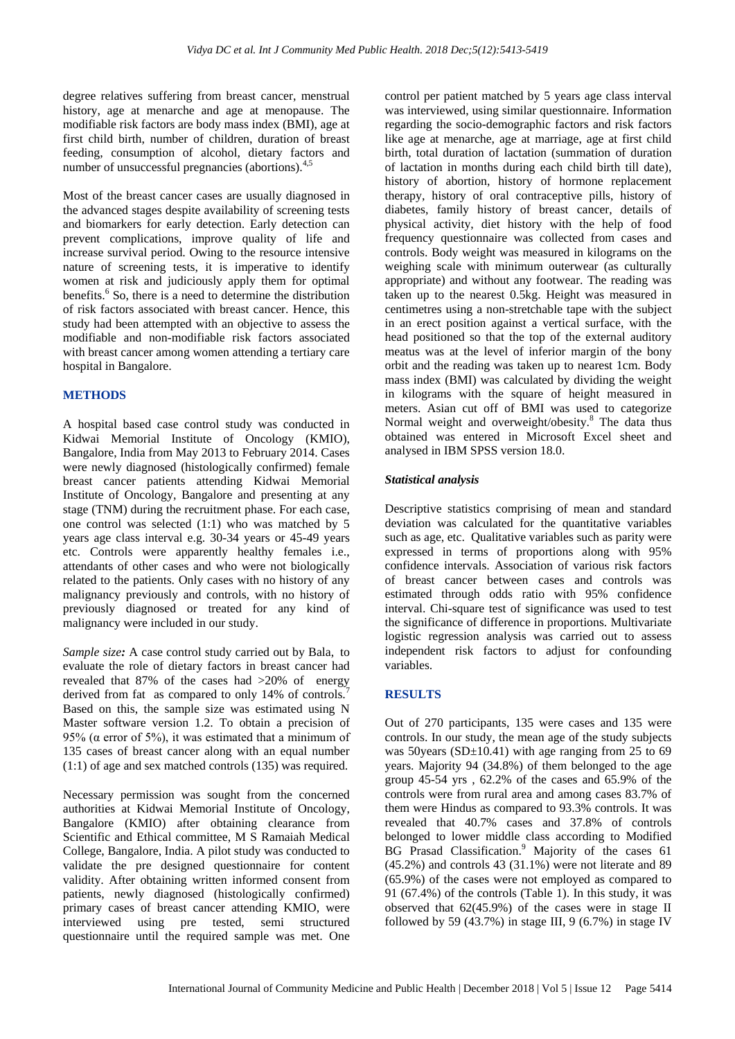degree relatives suffering from breast cancer, menstrual history, age at menarche and age at menopause. The modifiable risk factors are body mass index (BMI), age at first child birth, number of children, duration of breast feeding, consumption of alcohol, dietary factors and number of unsuccessful pregnancies (abortions). $4,5$ 

Most of the breast cancer cases are usually diagnosed in the advanced stages despite availability of screening tests and biomarkers for early detection. Early detection can prevent complications, improve quality of life and increase survival period. Owing to the resource intensive nature of screening tests, it is imperative to identify women at risk and judiciously apply them for optimal benefits.<sup>6</sup> So, there is a need to determine the distribution of risk factors associated with breast cancer. Hence, this study had been attempted with an objective to assess the modifiable and non-modifiable risk factors associated with breast cancer among women attending a tertiary care hospital in Bangalore.

#### **METHODS**

A hospital based case control study was conducted in Kidwai Memorial Institute of Oncology (KMIO), Bangalore, India from May 2013 to February 2014. Cases were newly diagnosed (histologically confirmed) female breast cancer patients attending Kidwai Memorial Institute of Oncology, Bangalore and presenting at any stage (TNM) during the recruitment phase. For each case, one control was selected (1:1) who was matched by 5 years age class interval e.g. 30-34 years or 45-49 years etc. Controls were apparently healthy females i.e., attendants of other cases and who were not biologically related to the patients. Only cases with no history of any malignancy previously and controls, with no history of previously diagnosed or treated for any kind of malignancy were included in our study.

*Sample size:* A case control study carried out by Bala, to evaluate the role of dietary factors in breast cancer had revealed that 87% of the cases had >20% of energy derived from fat as compared to only 14% of controls.<sup>7</sup> Based on this, the sample size was estimated using N Master software version 1.2. To obtain a precision of 95% ( $\alpha$  error of 5%), it was estimated that a minimum of 135 cases of breast cancer along with an equal number (1:1) of age and sex matched controls (135) was required.

Necessary permission was sought from the concerned authorities at Kidwai Memorial Institute of Oncology, Bangalore (KMIO) after obtaining clearance from Scientific and Ethical committee, M S Ramaiah Medical College, Bangalore, India. A pilot study was conducted to validate the pre designed questionnaire for content validity. After obtaining written informed consent from patients, newly diagnosed (histologically confirmed) primary cases of breast cancer attending KMIO, were interviewed using pre tested, semi structured questionnaire until the required sample was met. One control per patient matched by 5 years age class interval was interviewed, using similar questionnaire. Information regarding the socio-demographic factors and risk factors like age at menarche, age at marriage, age at first child birth, total duration of lactation (summation of duration of lactation in months during each child birth till date), history of abortion, history of hormone replacement therapy, history of oral contraceptive pills, history of diabetes, family history of breast cancer, details of physical activity, diet history with the help of food frequency questionnaire was collected from cases and controls. Body weight was measured in kilograms on the weighing scale with minimum outerwear (as culturally appropriate) and without any footwear. The reading was taken up to the nearest 0.5kg. Height was measured in centimetres using a non-stretchable tape with the subject in an erect position against a vertical surface, with the head positioned so that the top of the external auditory meatus was at the level of inferior margin of the bony orbit and the reading was taken up to nearest 1cm. Body mass index (BMI) was calculated by dividing the weight in kilograms with the square of height measured in meters. Asian cut off of BMI was used to categorize Normal weight and overweight/obesity.<sup>8</sup> The data thus obtained was entered in Microsoft Excel sheet and analysed in IBM SPSS version 18.0.

#### *Statistical analysis*

Descriptive statistics comprising of mean and standard deviation was calculated for the quantitative variables such as age, etc. Qualitative variables such as parity were expressed in terms of proportions along with 95% confidence intervals. Association of various risk factors of breast cancer between cases and controls was estimated through odds ratio with 95% confidence interval. Chi-square test of significance was used to test the significance of difference in proportions. Multivariate logistic regression analysis was carried out to assess independent risk factors to adjust for confounding variables.

#### **RESULTS**

Out of 270 participants, 135 were cases and 135 were controls. In our study, the mean age of the study subjects was 50 years ( $SD \pm 10.41$ ) with age ranging from 25 to 69 years. Majority 94 (34.8%) of them belonged to the age group 45-54 yrs , 62.2% of the cases and 65.9% of the controls were from rural area and among cases 83.7% of them were Hindus as compared to 93.3% controls. It was revealed that 40.7% cases and 37.8% of controls belonged to lower middle class according to Modified BG Prasad Classification.<sup>9</sup> Majority of the cases 61 (45.2%) and controls 43 (31.1%) were not literate and 89 (65.9%) of the cases were not employed as compared to 91 (67.4%) of the controls (Table 1). In this study, it was observed that 62(45.9%) of the cases were in stage II followed by 59  $(43.7%)$  in stage III, 9  $(6.7%)$  in stage IV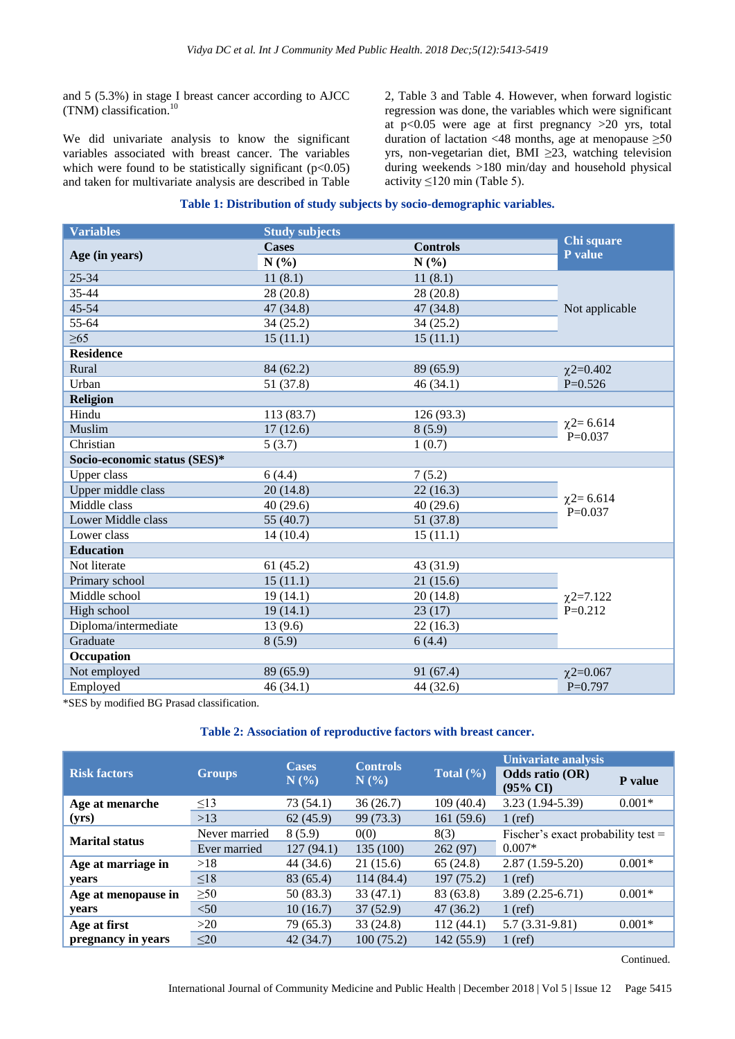and 5 (5.3%) in stage I breast cancer according to AJCC (TNM) classification.<sup>10</sup>

We did univariate analysis to know the significant variables associated with breast cancer. The variables which were found to be statistically significant  $(p<0.05)$ and taken for multivariate analysis are described in Table 2, Table 3 and Table 4. However, when forward logistic regression was done, the variables which were significant at  $p<0.05$  were age at first pregnancy  $>20$  yrs, total duration of lactation <48 months, age at menopause  $\geq 50$ yrs, non-vegetarian diet, BMI ≥23, watching television during weekends >180 min/day and household physical activity  $\leq 120$  min (Table 5).

#### **Table 1: Distribution of study subjects by socio-demographic variables.**

| <b>Variables</b>             | <b>Study subjects</b> |                 |                               |
|------------------------------|-----------------------|-----------------|-------------------------------|
| Age (in years)               | <b>Cases</b>          | <b>Controls</b> | Chi square<br>P value         |
|                              | N(%)                  | N(%)            |                               |
| 25-34                        | 11(8.1)               | 11(8.1)         |                               |
| 35-44                        | 28 (20.8)             | 28 (20.8)       |                               |
| 45-54                        | 47 (34.8)             | 47 (34.8)       | Not applicable                |
| 55-64                        | 34 (25.2)             | 34(25.2)        |                               |
| $\geq 65$                    | 15(11.1)              | 15(11.1)        |                               |
| <b>Residence</b>             |                       |                 |                               |
| Rural                        | 84 (62.2)             | 89 (65.9)       | $\chi$ 2=0.402                |
| Urban                        | 51 (37.8)             | 46(34.1)        | $P=0.526$                     |
| <b>Religion</b>              |                       |                 |                               |
| Hindu                        | 113 (83.7)            | 126(93.3)       |                               |
| Muslim                       | 17(12.6)              | 8(5.9)          | $\chi$ 2=6.614<br>$P = 0.037$ |
| Christian                    | 5(3.7)                | 1(0.7)          |                               |
| Socio-economic status (SES)* |                       |                 |                               |
| Upper class                  | 6(4.4)                | 7(5.2)          |                               |
| Upper middle class           | 20(14.8)              | 22(16.3)        |                               |
| Middle class                 | 40(29.6)              | 40(29.6)        | $\chi$ 2=6.614<br>$P=0.037$   |
| Lower Middle class           | 55 (40.7)             | 51 (37.8)       |                               |
| Lower class                  | 14(10.4)              | 15(11.1)        |                               |
| <b>Education</b>             |                       |                 |                               |
| Not literate                 | 61(45.2)              | 43 (31.9)       |                               |
| Primary school               | 15(11.1)              | 21(15.6)        |                               |
| Middle school                | 19(14.1)              | 20(14.8)        | $\chi$ 2=7.122                |
| High school                  | 19(14.1)              | 23(17)          | $P=0.212$                     |
| Diploma/intermediate         | 13(9.6)               | 22(16.3)        |                               |
| Graduate                     | 8(5.9)                | 6(4.4)          |                               |
| Occupation                   |                       |                 |                               |
| Not employed                 | 89 (65.9)             | 91 (67.4)       | $\chi$ 2=0.067                |
| Employed                     | 46(34.1)              | 44 (32.6)       | $P=0.797$                     |

\*SES by modified BG Prasad classification.

#### **Table 2: Association of reproductive factors with breast cancer.**

|                       | <b>Groups</b> | <b>Cases</b><br>N(%) | <b>Controls</b><br>N(%) | Total $(\% )$ | <b>Univariate analysis</b>             |          |
|-----------------------|---------------|----------------------|-------------------------|---------------|----------------------------------------|----------|
| <b>Risk factors</b>   |               |                      |                         |               | Odds ratio (OR)<br>$(95\% \text{ CI})$ | P value  |
| Age at menarche       | $\leq$ 13     | 73 (54.1)            | 36(26.7)                | 109(40.4)     | $3.23(1.94-5.39)$                      | $0.001*$ |
| (yrs)                 | >13           | 62(45.9)             | 99 (73.3)               | 161(59.6)     | $1$ (ref)                              |          |
| <b>Marital status</b> | Never married | 8(5.9)               | 0(0)                    | 8(3)          | Fischer's exact probability test $=$   |          |
|                       | Ever married  | 127(94.1)            | 135 (100)               | 262(97)       | $0.007*$                               |          |
| Age at marriage in    | >18           | 44 (34.6)            | 21(15.6)                | 65(24.8)      | $2.87(1.59-5.20)$                      | $0.001*$ |
| years                 | $\leq 18$     | 83 (65.4)            | 114 (84.4)              | 197(75.2)     | $1$ (ref)                              |          |
| Age at menopause in   | $\geq 50$     | 50(83.3)             | 33(47.1)                | 83 (63.8)     | $3.89(2.25-6.71)$                      | $0.001*$ |
| years                 | < 50          | 10(16.7)             | 37(52.9)                | 47(36.2)      | $1$ (ref)                              |          |
| Age at first          | >20           | 79 (65.3)            | 33(24.8)                | 112(44.1)     | $5.7(3.31-9.81)$                       | $0.001*$ |
| pregnancy in years    | $\leq 20$     | 42(34.7)             | 100(75.2)               | 142 (55.9)    | $1$ (ref)                              |          |

Continued.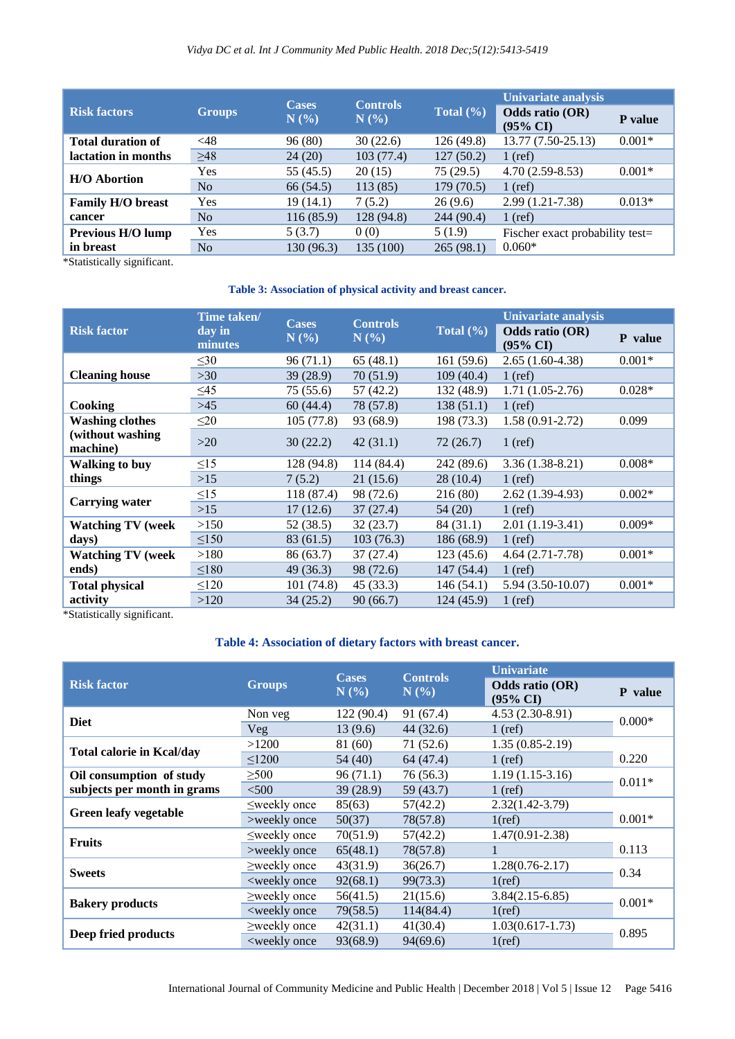# *Vidya DC et al. Int J Community Med Public Health. 2018 Dec;5(12):5413-5419*

| <b>Risk factors</b>      | <b>Groups</b> | <b>Cases</b><br>N(%) | <b>Controls</b><br>N(%) | Total $(\% )$ | <b>Univariate analysis</b><br>Odds ratio (OR)<br><b>P</b> value |          |
|--------------------------|---------------|----------------------|-------------------------|---------------|-----------------------------------------------------------------|----------|
|                          |               |                      |                         |               | $(95\% \text{ CI})$                                             |          |
| <b>Total duration of</b> | $<$ 48        | 96(80)               | 30(22.6)                | 126 (49.8)    | 13.77 (7.50-25.13)                                              | $0.001*$ |
| lactation in months      | $\geq 48$     | 24(20)               | 103(77.4)               | 127(50.2)     | $1$ (ref)                                                       |          |
| <b>H/O Abortion</b>      | <b>Yes</b>    | 55 (45.5)            | 20(15)                  | 75(29.5)      | $4.70(2.59-8.53)$                                               | $0.001*$ |
|                          | No            | 66 (54.5)            | 113(85)                 | 179(70.5)     | $1$ (ref)                                                       |          |
| <b>Family H/O breast</b> | <b>Yes</b>    | 19(14.1)             | 7(5.2)                  | 26(9.6)       | $2.99(1.21-7.38)$                                               | $0.013*$ |
| cancer                   | No            | 116(85.9)            | 128 (94.8)              | 244 (90.4)    | $1$ (ref)                                                       |          |
| <b>Previous H/O lump</b> | <b>Yes</b>    | 5(3.7)               | 0(0)                    | 5(1.9)        | Fischer exact probability test=                                 |          |
| in breast                | No            | 130 (96.3)           | 135 (100)               | 265(98.1)     | $0.060*$                                                        |          |

\*Statistically significant.

#### **Table 3: Association of physical activity and breast cancer.**

|                               | Time taken/       | <b>Cases</b> | <b>Controls</b> |                             | Univariate analysis                    |          |
|-------------------------------|-------------------|--------------|-----------------|-----------------------------|----------------------------------------|----------|
| <b>Risk factor</b>            | day in<br>minutes | N(%)         | N(%)            | Total $(\sqrt[6]{\bullet})$ | Odds ratio (OR)<br>$(95\% \text{ CI})$ | P value  |
|                               | $\leq 30$         | 96 (71.1)    | 65(48.1)        | 161(59.6)                   | $2.65(1.60-4.38)$                      | $0.001*$ |
| <b>Cleaning house</b>         | >30               | 39(28.9)     | 70(51.9)        | 109(40.4)                   | $1$ (ref)                              |          |
|                               | $\leq 45$         | 75 (55.6)    | 57 (42.2)       | 132 (48.9)                  | $1.71(1.05-2.76)$                      | $0.028*$ |
| Cooking                       | >45               | 60(44.4)     | 78 (57.8)       | 138 (51.1)                  | $1$ (ref)                              |          |
| <b>Washing clothes</b>        | $\leq$ 20         | 105(77.8)    | 93 (68.9)       | 198 (73.3)                  | $1.58(0.91-2.72)$                      | 0.099    |
| (without washing)<br>machine) | $>20$             | 30(22.2)     | 42(31.1)        | 72(26.7)                    | $1$ (ref)                              |          |
| <b>Walking to buy</b>         | $\leq15$          | 128 (94.8)   | 114 (84.4)      | 242 (89.6)                  | $3.36(1.38-8.21)$                      | $0.008*$ |
| things                        | $>15$             | 7(5.2)       | 21 (15.6)       | 28(10.4)                    | $1$ (ref)                              |          |
| Carrying water                | $\leq$ 15         | 118 (87.4)   | 98 (72.6)       | 216 (80)                    | $2.62(1.39-4.93)$                      | $0.002*$ |
|                               | $>15$             | 17(12.6)     | 37(27.4)        | 54 (20)                     | $1$ (ref)                              |          |
| <b>Watching TV (week</b>      | >150              | 52 (38.5)    | 32(23.7)        | 84 (31.1)                   | $2.01(1.19-3.41)$                      | $0.009*$ |
| days)                         | $\leq 150$        | 83 (61.5)    | 103(76.3)       | 186 (68.9)                  | $1$ (ref)                              |          |
| <b>Watching TV (week</b>      | >180              | 86 (63.7)    | 37(27.4)        | 123 (45.6)                  | $4.64(2.71-7.78)$                      | $0.001*$ |
| ends)                         | < 180             | 49 (36.3)    | 98 (72.6)       | 147 (54.4)                  | $1$ (ref)                              |          |
| <b>Total physical</b>         | $\leq 120$        | 101(74.8)    | 45 (33.3)       | 146 (54.1)                  | 5.94 (3.50-10.07)                      | $0.001*$ |
| activity                      | >120              | 34(25.2)     | 90(66.7)        | 124 (45.9)                  | $1$ (ref)                              |          |

\*Statistically significant.

# **Table 4: Association of dietary factors with breast cancer.**

|                                                         | Groups                                                                                                       | <b>Cases</b><br>N(%) | <b>Controls</b> | <b>Univariate</b>                      |          |
|---------------------------------------------------------|--------------------------------------------------------------------------------------------------------------|----------------------|-----------------|----------------------------------------|----------|
| <b>Risk factor</b>                                      |                                                                                                              |                      | N(%             | Odds ratio (OR)<br>$(95\% \text{ CI})$ | P value  |
| <b>Diet</b>                                             | Non veg                                                                                                      | 122 (90.4)           | 91 (67.4)       | $4.53(2.30-8.91)$                      | $0.000*$ |
|                                                         | Veg                                                                                                          | 13(9.6)              | 44 (32.6)       | $1$ (ref)                              |          |
|                                                         | >1200                                                                                                        | 81 (60)              | 71(52.6)        | $1.35(0.85-2.19)$                      |          |
| <b>Total calorie in Kcal/day</b>                        | $\leq$ 1200                                                                                                  | 54 (40)              | 64 (47.4)       | $1$ (ref)                              | 0.220    |
| Oil consumption of study<br>subjects per month in grams | $\geq 500$                                                                                                   | 96(71.1)             | 76 (56.3)       | $1.19(1.15-3.16)$                      | $0.011*$ |
|                                                         | < 500                                                                                                        | 39(28.9)             | 59 (43.7)       | $1$ (ref)                              |          |
| <b>Green leafy vegetable</b>                            | $\leq$ weekly once                                                                                           | 85(63)               | 57(42.2)        | $2.32(1.42 - 3.79)$                    |          |
|                                                         | >weekly once                                                                                                 | 50(37)               | 78(57.8)        | 1(ref)                                 | $0.001*$ |
| <b>Fruits</b>                                           | $\leq$ weekly once                                                                                           | 70(51.9)             | 57(42.2)        | $1.47(0.91 - 2.38)$                    |          |
|                                                         | >weekly once                                                                                                 | 65(48.1)             | 78(57.8)        |                                        | 0.113    |
| <b>Sweets</b>                                           | $\geq$ weekly once                                                                                           | 43(31.9)             | 36(26.7)        | $1.28(0.76 - 2.17)$                    | 0.34     |
|                                                         | <weekly once<="" td=""><td>92(68.1)</td><td>99(73.3)</td><td><math>1</math>(ref)</td><td></td></weekly>      | 92(68.1)             | 99(73.3)        | $1$ (ref)                              |          |
| <b>Bakery products</b>                                  | $\geq$ weekly once                                                                                           | 56(41.5)             | 21(15.6)        | $3.84(2.15-6.85)$                      | $0.001*$ |
|                                                         | <weekly once<="" td=""><td>79(58.5)</td><td>114(84.4)</td><td><math>1</math>(ref)</td><td></td></weekly>     | 79(58.5)             | 114(84.4)       | $1$ (ref)                              |          |
| Deep fried products                                     | $\geq$ weekly once                                                                                           | 42(31.1)             | 41(30.4)        | $1.03(0.617 - 1.73)$                   |          |
|                                                         | <weekly once<="" td=""><td>93(68.9)</td><td>94(69.6)</td><td><math>1</math>(ref)</td><td>0.895</td></weekly> | 93(68.9)             | 94(69.6)        | $1$ (ref)                              | 0.895    |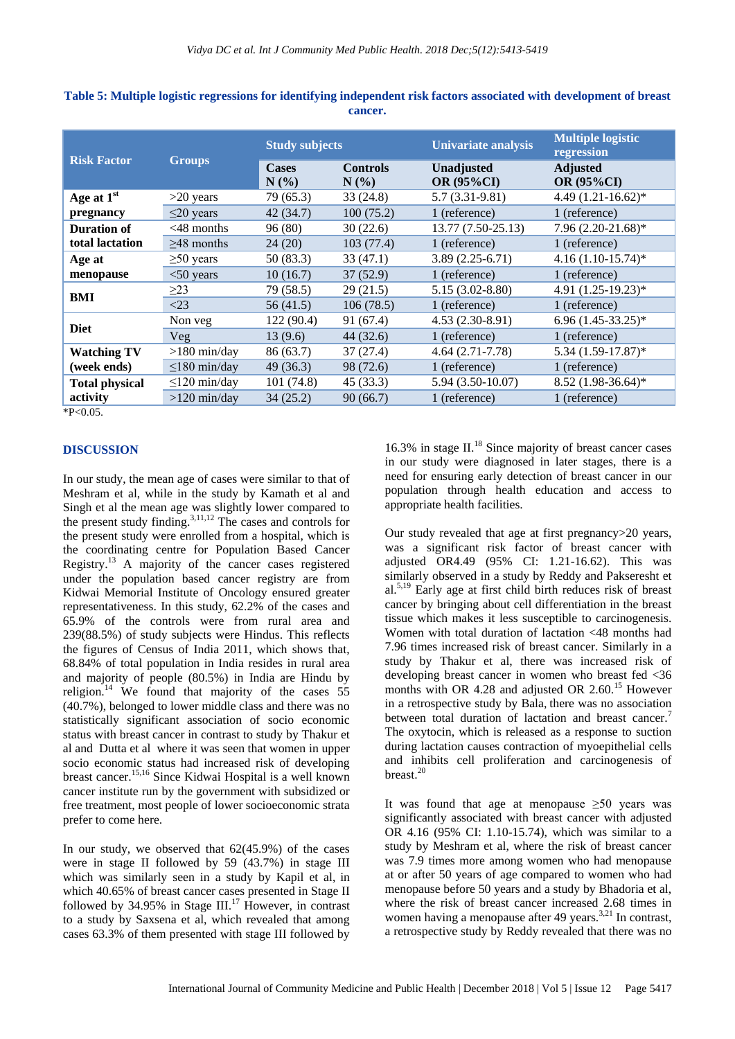| <b>Groups</b>      | <b>Study subjects</b> |                         | <b>Univariate analysis</b>             | <b>Multiple logistic</b><br>regression |
|--------------------|-----------------------|-------------------------|----------------------------------------|----------------------------------------|
|                    | <b>Cases</b><br>N(%)  | <b>Controls</b><br>N(%) | <b>Unadjusted</b><br><b>OR (95%CI)</b> | <b>Adjusted</b><br><b>OR (95%CI)</b>   |
| $>20$ years        | 79 (65.3)             | 33(24.8)                | $5.7(3.31-9.81)$                       | 4.49 $(1.21 - 16.62)$ *                |
| $\leq$ 20 years    | 42(34.7)              | 100(75.2)               | 1 (reference)                          | 1 (reference)                          |
| $<$ 48 months      | 96(80)                | 30(22.6)                | 13.77 (7.50-25.13)                     | 7.96 (2.20-21.68)*                     |
| $\geq$ 48 months   | 24(20)                | 103(77.4)               | 1 (reference)                          | 1 (reference)                          |
| $\geq 50$ years    | 50 (83.3)             | 33(47.1)                | $3.89(2.25-6.71)$                      | $4.16(1.10-15.74)$ *                   |
| $<$ 50 years       | 10(16.7)              | 37(52.9)                | 1 (reference)                          | 1 (reference)                          |
| $\geq$ 23          | 79 (58.5)             | 29(21.5)                | $5.15(3.02 - 8.80)$                    | 4.91 (1.25-19.23)*                     |
| $<$ 23             | 56(41.5)              | 106(78.5)               | 1 (reference)                          | 1 (reference)                          |
| Non veg            | 122 (90.4)            | 91 (67.4)               | $4.53(2.30-8.91)$                      | $6.96(1.45-33.25)^*$                   |
| Veg                | 13 (9.6)              | 44(32.6)                | 1 (reference)                          | 1 (reference)                          |
| $>180$ min/day     | 86 (63.7)             | 37(27.4)                | $4.64(2.71 - 7.78)$                    | 5.34 (1.59-17.87)*                     |
| $\leq$ 180 min/day | 49(36.3)              | 98 (72.6)               | 1 (reference)                          | 1 (reference)                          |
| $\leq$ 120 min/day | 101(74.8)             | 45(33.3)                | 5.94 (3.50-10.07)                      | 8.52 (1.98-36.64)*                     |
| $>120$ min/day     | 34(25.2)              | 90(66.7)                | 1 (reference)                          | 1 (reference)                          |
|                    |                       |                         |                                        |                                        |

**Table 5: Multiple logistic regressions for identifying independent risk factors associated with development of breast cancer.**

 $*P<0.05$ .

#### **DISCUSSION**

In our study, the mean age of cases were similar to that of Meshram et al, while in the study by Kamath et al and Singh et al the mean age was slightly lower compared to the present study finding. $3,11,12$  The cases and controls for the present study were enrolled from a hospital, which is the coordinating centre for Population Based Cancer Registry.<sup>13</sup> A majority of the cancer cases registered under the population based cancer registry are from Kidwai Memorial Institute of Oncology ensured greater representativeness. In this study, 62.2% of the cases and 65.9% of the controls were from rural area and 239(88.5%) of study subjects were Hindus. This reflects the figures of Census of India 2011, which shows that, 68.84% of total population in India resides in rural area and majority of people (80.5%) in India are Hindu by religion.<sup>14</sup> We found that majority of the cases  $55$ (40.7%), belonged to lower middle class and there was no statistically significant association of socio economic status with breast cancer in contrast to study by Thakur et al and Dutta et al where it was seen that women in upper socio economic status had increased risk of developing breast cancer.15,16 Since Kidwai Hospital is a well known cancer institute run by the government with subsidized or free treatment, most people of lower socioeconomic strata prefer to come here.

In our study, we observed that 62(45.9%) of the cases were in stage II followed by 59 (43.7%) in stage III which was similarly seen in a study by Kapil et al, in which 40.65% of breast cancer cases presented in Stage II followed by  $34.95\%$  in Stage III.<sup>17</sup> However, in contrast to a study by Saxsena et al, which revealed that among cases 63.3% of them presented with stage III followed by 16.3% in stage  $II.^{18}$  Since majority of breast cancer cases in our study were diagnosed in later stages, there is a need for ensuring early detection of breast cancer in our population through health education and access to appropriate health facilities.

Our study revealed that age at first pregnancy>20 years, was a significant risk factor of breast cancer with adjusted OR4.49 (95% CI: 1.21-16.62). This was similarly observed in a study by Reddy and Pakseresht et al. 5,19 Early age at first child birth reduces risk of breast cancer by bringing about cell differentiation in the breast tissue which makes it less susceptible to carcinogenesis. Women with total duration of lactation <48 months had 7.96 times increased risk of breast cancer. Similarly in a study by Thakur et al, there was increased risk of developing breast cancer in women who breast fed <36 months with OR 4.28 and adjusted OR  $2.60<sup>15</sup>$  However in a retrospective study by Bala, there was no association between total duration of lactation and breast cancer.<sup>7</sup> The oxytocin, which is released as a response to suction during lactation causes contraction of myoepithelial cells and inhibits cell proliferation and carcinogenesis of breast. 20

It was found that age at menopause  $\geq 50$  years was significantly associated with breast cancer with adjusted OR 4.16 (95% CI: 1.10-15.74), which was similar to a study by Meshram et al, where the risk of breast cancer was 7.9 times more among women who had menopause at or after 50 years of age compared to women who had menopause before 50 years and a study by Bhadoria et al, where the risk of breast cancer increased 2.68 times in women having a menopause after 49 years.<sup>3,21</sup> In contrast, a retrospective study by Reddy revealed that there was no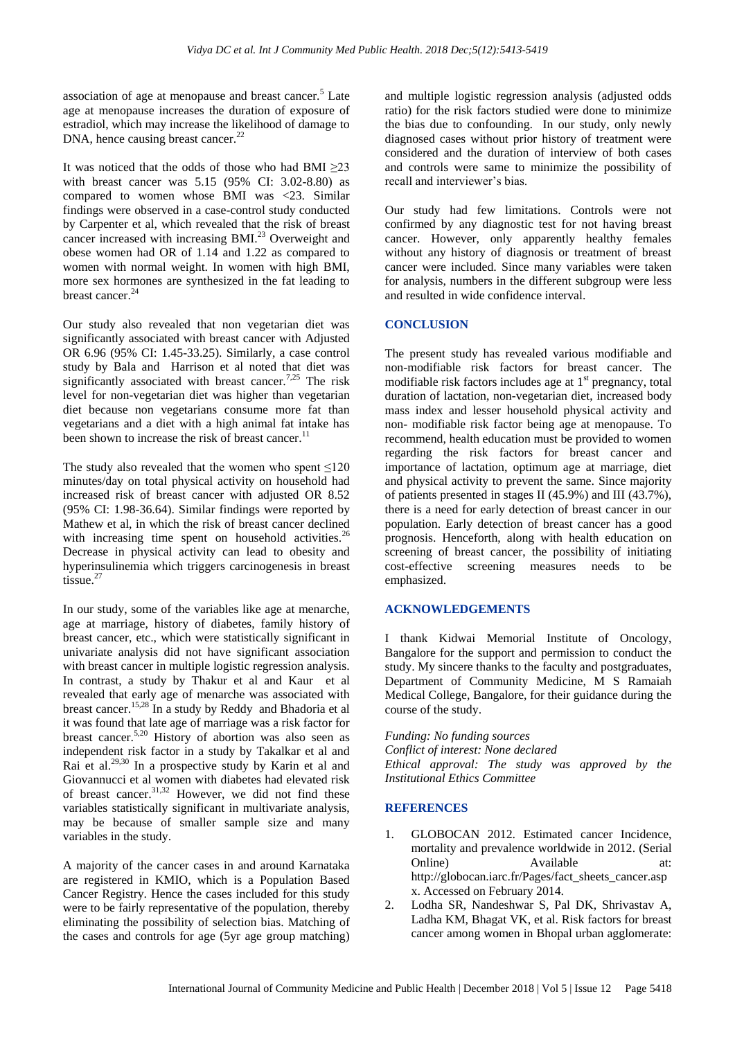association of age at menopause and breast cancer.<sup>5</sup> Late age at menopause increases the duration of exposure of estradiol, which may increase the likelihood of damage to DNA, hence causing breast cancer.<sup>22</sup>

It was noticed that the odds of those who had BMI  $\geq 23$ with breast cancer was 5.15 (95% CI: 3.02-8.80) as compared to women whose BMI was <23. Similar findings were observed in a case-control study conducted by Carpenter et al, which revealed that the risk of breast cancer increased with increasing BMI.<sup>23</sup> Overweight and obese women had OR of 1.14 and 1.22 as compared to women with normal weight. In women with high BMI, more sex hormones are synthesized in the fat leading to breast cancer. 24

Our study also revealed that non vegetarian diet was significantly associated with breast cancer with Adjusted OR 6.96 (95% CI: 1.45-33.25). Similarly, a case control study by Bala and Harrison et al noted that diet was significantly associated with breast cancer.<sup>7,25</sup> The risk level for non-vegetarian diet was higher than vegetarian diet because non vegetarians consume more fat than vegetarians and a diet with a high animal fat intake has been shown to increase the risk of breast cancer.<sup>11</sup>

The study also revealed that the women who spent  $\leq 120$ minutes/day on total physical activity on household had increased risk of breast cancer with adjusted OR 8.52 (95% CI: 1.98-36.64). Similar findings were reported by Mathew et al, in which the risk of breast cancer declined with increasing time spent on household activities.<sup>26</sup> Decrease in physical activity can lead to obesity and hyperinsulinemia which triggers carcinogenesis in breast tissue.<sup>27</sup>

In our study, some of the variables like age at menarche, age at marriage, history of diabetes, family history of breast cancer, etc., which were statistically significant in univariate analysis did not have significant association with breast cancer in multiple logistic regression analysis. In contrast, a study by Thakur et al and Kaur et al revealed that early age of menarche was associated with breast cancer.<sup>15,28</sup> In a study by Reddy and Bhadoria et al it was found that late age of marriage was a risk factor for breast cancer.5,20 History of abortion was also seen as independent risk factor in a study by Takalkar et al and Rai et al.<sup>29,30</sup> In a prospective study by Karin et al and Giovannucci et al women with diabetes had elevated risk of breast cancer.<sup>31,32</sup> However, we did not find these variables statistically significant in multivariate analysis, may be because of smaller sample size and many variables in the study.

A majority of the cancer cases in and around Karnataka are registered in KMIO, which is a Population Based Cancer Registry. Hence the cases included for this study were to be fairly representative of the population, thereby eliminating the possibility of selection bias. Matching of the cases and controls for age (5yr age group matching) and multiple logistic regression analysis (adjusted odds ratio) for the risk factors studied were done to minimize the bias due to confounding. In our study, only newly diagnosed cases without prior history of treatment were considered and the duration of interview of both cases and controls were same to minimize the possibility of recall and interviewer's bias.

Our study had few limitations. Controls were not confirmed by any diagnostic test for not having breast cancer. However, only apparently healthy females without any history of diagnosis or treatment of breast cancer were included. Since many variables were taken for analysis, numbers in the different subgroup were less and resulted in wide confidence interval.

## **CONCLUSION**

The present study has revealed various modifiable and non-modifiable risk factors for breast cancer. The modifiable risk factors includes age at  $1<sup>st</sup>$  pregnancy, total duration of lactation, non-vegetarian diet, increased body mass index and lesser household physical activity and non- modifiable risk factor being age at menopause. To recommend, health education must be provided to women regarding the risk factors for breast cancer and importance of lactation, optimum age at marriage, diet and physical activity to prevent the same. Since majority of patients presented in stages II (45.9%) and III (43.7%), there is a need for early detection of breast cancer in our population. Early detection of breast cancer has a good prognosis. Henceforth, along with health education on screening of breast cancer, the possibility of initiating cost-effective screening measures needs to be emphasized.

#### **ACKNOWLEDGEMENTS**

I thank Kidwai Memorial Institute of Oncology, Bangalore for the support and permission to conduct the study. My sincere thanks to the faculty and postgraduates, Department of Community Medicine, M S Ramaiah Medical College, Bangalore, for their guidance during the course of the study.

*Funding: No funding sources Conflict of interest: None declared Ethical approval: The study was approved by the Institutional Ethics Committee*

#### **REFERENCES**

- 1. GLOBOCAN 2012. Estimated cancer Incidence, mortality and prevalence worldwide in 2012. (Serial Online) Available at: http://globocan.iarc.fr/Pages/fact\_sheets\_cancer.asp x. Accessed on February 2014.
- 2. Lodha SR, Nandeshwar S, Pal DK, Shrivastav A, Ladha KM, Bhagat VK, et al. Risk factors for breast cancer among women in Bhopal urban agglomerate: